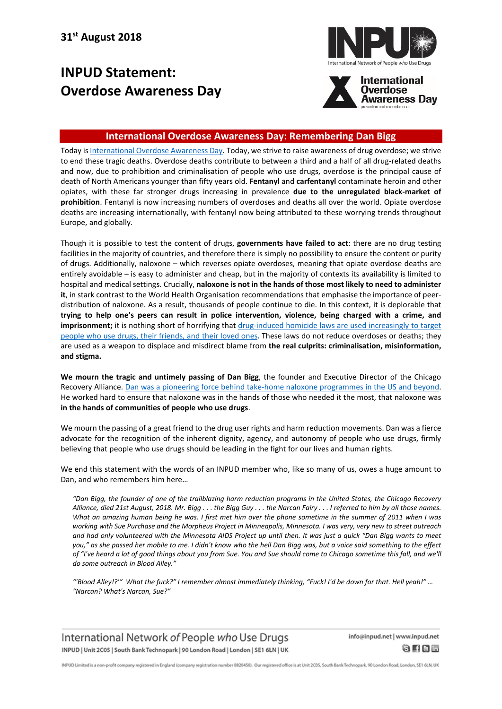## **INPUD Statement: Overdose Awareness Day**





## **International Overdose Awareness Day: Remembering Dan Bigg**

Today is [International](https://www.overdoseday.com/) Overdose Awareness Day. Today, we strive to raise awareness of drug overdose; we strive to end these tragic deaths. Overdose deaths contribute to between a third and a half of all drug-related deaths and now, due to prohibition and criminalisation of people who use drugs, overdose is the principal cause of death of North Americans younger than fifty years old. **Fentanyl** and **carfentanyl** contaminate heroin and other opiates, with these far stronger drugs increasing in prevalence **due to the unregulated black-market of prohibition**. Fentanyl is now increasing numbers of overdoses and deaths all over the world. Opiate overdose deaths are increasing internationally, with fentanyl now being attributed to these worrying trends throughout Europe, and globally.

Though it is possible to test the content of drugs, **governments have failed to act**: there are no drug testing facilities in the majority of countries, and therefore there is simply no possibility to ensure the content or purity of drugs. Additionally, naloxone – which reverses opiate overdoses, meaning that opiate overdose deaths are entirely avoidable – is easy to administer and cheap, but in the majority of contexts its availability is limited to hospital and medical settings. Crucially, **naloxone is not in the hands of those most likely to need to administer it**, in stark contrast to the World Health Organisation recommendations that emphasise the importance of peerdistribution of naloxone. As a result, thousands of people continue to die. In this context, it is deplorable that **trying to help one's peers can result in police intervention, violence, being charged with a crime, and imprisonment;** it is nothing short of horrifying that [drug-induced](http://www.drugpolicy.org/sites/default/files/dpa_drug_induced_homicide_report_0.pdf) homicide laws are used increasingly to target people who use drugs, their [friends,](http://www.drugpolicy.org/sites/default/files/dpa_drug_induced_homicide_report_0.pdf) and their loved ones. These laws do not reduce overdoses or deaths; they are used as a weapon to displace and misdirect blame from **the real culprits: criminalisation, misinformation, and stigma.**

**We mourn the tragic and untimely passing of Dan Bigg**, the founder and Executive Director of the Chicago Recovery Alliance. Dan was a pioneering force behind take-home naloxone [programmes](http://www.chicagomag.com/city-life/September-2018/Dan-Bigg-Revolutionized-Opioid-Treatment/) in the US and beyond. He worked hard to ensure that naloxone was in the hands of those who needed it the most, that naloxone was **in the hands of communities of people who use drugs**.

We mourn the passing of a great friend to the drug user rights and harm reduction movements. Dan was a fierce advocate for the recognition of the inherent dignity, agency, and autonomy of people who use drugs, firmly believing that people who use drugs should be leading in the fight for our lives and human rights.

We end this statement with the words of an INPUD member who, like so many of us, owes a huge amount to Dan, and who remembers him here…

"Dan Biag, the founder of one of the trailblazing harm reduction programs in the United States, the Chicago Recovery Alliance, died 21st August, 2018. Mr. Bigg ... the Bigg Guy ... the Narcan Fairy ... I referred to him by all those names. What an amazing human being he was. I first met him over the phone sometime in the summer of 2011 when I was working with Sue Purchase and the Morpheus Project in Minneapolis, Minnesota. I was very, very new to street outreach and had only volunteered with the Minnesota AIDS Project up until then. It was just a quick "Dan Bigg wants to meet you," as she passed her mobile to me. I didn't know who the hell Dan Bigg was, but a voice said something to the effect of "I've heard a lot of good things about you from Sue. You and Sue should come to Chicago sometime this fall, and we'll *do some outreach in Blood Alley."*

"Blood Alley!?"" What the fuck?" I remember almost immediately thinking, "Fuck! I'd be down for that. Hell yeah!" ... *"Narcan? What's Narcan, Sue?"*

International Network of People who Use Drugs INPUD | Unit 2C05 | South Bank Technopark | 90 London Road | London | SE1 6LN | UK info@inpud.net | www.inpud.net  $8$  Hem

INPUD Limited is a non-profit company registered in England (company registration number 8828458). Our registered office is at Unit 2005, South Bank Technopark, 90 London Road, London, SE1 6LN, UK